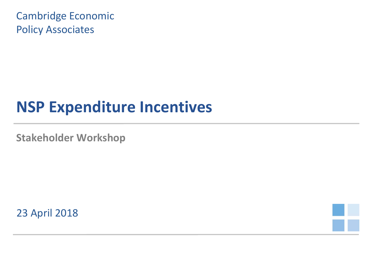Cambridge Economic Policy Associates

# **NSP Expenditure Incentives**

**Stakeholder Workshop**

23 April 2018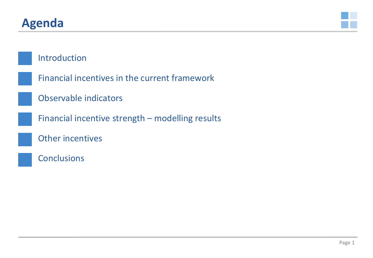#### **Agenda**



#### Introduction

- Financial incentives in the current framework
- Observable indicators
- Financial incentive strength modelling results
- Other incentives
- **Conclusions**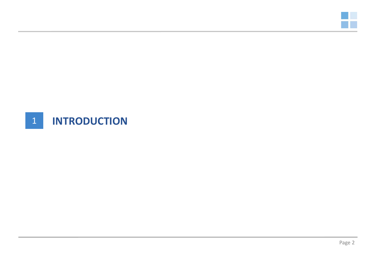

#### 1 **INTRODUCTION**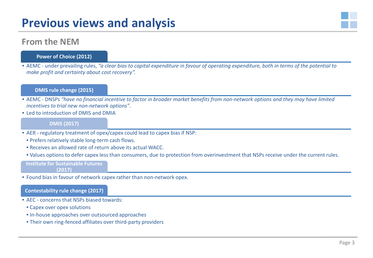### **Previous views and analysis**



#### **Power of Choice (2012)**

• AEMC - under prevailing rules, *"a clear bias to capital expenditure in favour of operating expenditure, both in terms of the potential to make profit and certainty about cost recovery".*

#### **DMIS rule change (2015)**

- AEMC DNSPs *"have no financial incentive to factor in broader market benefits from non-network options and they may have limited incentives to trial new non-network options"*.
- Led to introduction of DMIS and DMIA

#### **DMIS (2017)**

- AER regulatory treatment of opex/capex could lead to capex bias if NSP:
	- Prefers relatively stable long-term cash flows.
	- Receives an allowed rate of return above its actual WACC.
	- Values options to defer capex less than consumers, due to protection from overinvestment that NSPs receive under the current rules.

#### **Institute for Sustainable Futures**

**(2017)**

• Found bias in favour of network capex rather than non-network opex.

#### **Contestability rule change (2017)**

- AEC concerns that NSPs biased towards:
	- Capex over opex solutions
	- In-house approaches over outsourced approaches
	- Their own ring-fenced affiliates over third-party providers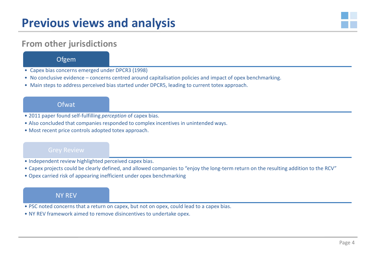

#### **From other jurisdictions**

**Ofgem** 

- Capex bias concerns emerged under DPCR3 (1998)
- No conclusive evidence concerns centred around capitalisation policies and impact of opex benchmarking.
- Main steps to address perceived bias started under DPCR5, leading to current totex approach.

**Ofwat** 

- 2011 paper found self-fulfilling *perception* of capex bias.
- Also concluded that companies responded to complex incentives in unintended ways.
- Most recent price controls adopted totex approach.

- Independent review highlighted perceived capex bias.
- Capex projects could be clearly defined, and allowed companies to "enjoy the long-term return on the resulting addition to the RCV"
- Opex carried risk of appearing inefficient under opex benchmarking

#### NY REV

- PSC noted concerns that a return on capex, but not on opex, could lead to a capex bias.
- NY REV framework aimed to remove disincentives to undertake opex.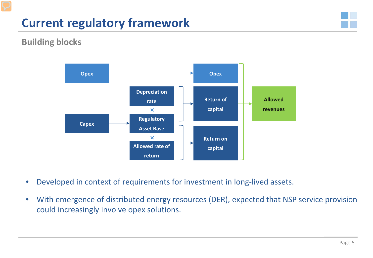## **Current regulatory framework**



#### **Building blocks**



- Developed in context of requirements for investment in long-lived assets.
- With emergence of distributed energy resources (DER), expected that NSP service provision could increasingly involve opex solutions.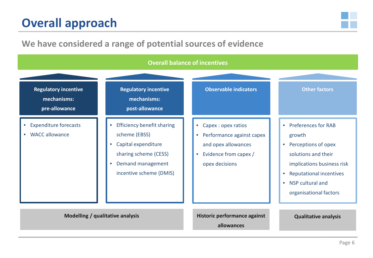## **Overall approach**



#### **We have considered a range of potential sources of evidence**

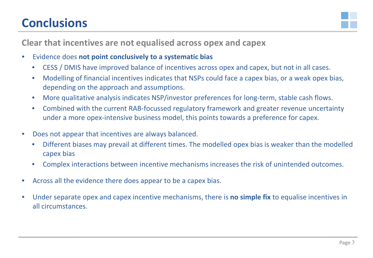## **Conclusions**



**Clear that incentives are not equalised across opex and capex**

- Evidence does **not point conclusively to a systematic bias**
	- CESS / DMIS have improved balance of incentives across opex and capex, but not in all cases.
	- Modelling of financial incentives indicates that NSPs could face a capex bias, or a weak opex bias, depending on the approach and assumptions.
	- More qualitative analysis indicates NSP/investor preferences for long-term, stable cash flows.
	- Combined with the current RAB-focussed regulatory framework and greater revenue uncertainty under a more opex-intensive business model, this points towards a preference for capex.
- Does not appear that incentives are always balanced.
	- Different biases may prevail at different times. The modelled opex bias is weaker than the modelled capex bias
	- Complex interactions between incentive mechanisms increases the risk of unintended outcomes.
- Across all the evidence there does appear to be a capex bias.
- Under separate opex and capex incentive mechanisms, there is **no simple fix** to equalise incentives in all circumstances.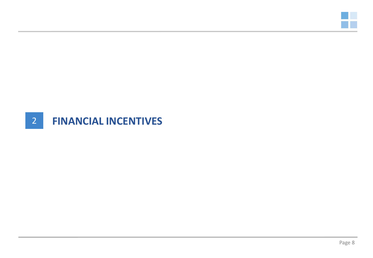

#### 2 **FINANCIAL INCENTIVES**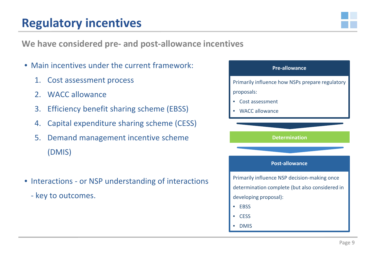#### **Regulatory incentives**



**We have considered pre- and post-allowance incentives**

- Main incentives under the current framework:
	- 1. Cost assessment process
	- 2. WACC allowance
	- 3. Efficiency benefit sharing scheme (EBSS)
	- 4. Capital expenditure sharing scheme (CESS)
	- 5. Demand management incentive scheme (DMIS)
- Interactions or NSP understanding of interactions
	- key to outcomes.

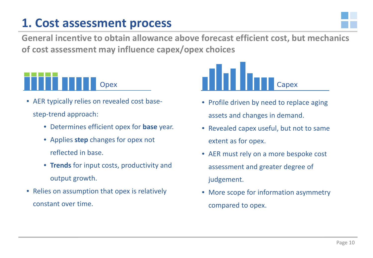#### **1. Cost assessment process**



**General incentive to obtain allowance above forecast efficient cost, but mechanics of cost assessment may influence capex/opex choices**



- AER typically relies on revealed cost basestep-trend approach:
	- Determines efficient opex for **base** year.
	- Applies **step** changes for opex not reflected in base.
	- **Trends** for input costs, productivity and output growth.
- Relies on assumption that opex is relatively constant over time.



- Profile driven by need to replace aging assets and changes in demand.
- Revealed capex useful, but not to same extent as for opex.
- AER must rely on a more bespoke cost assessment and greater degree of judgement.
- More scope for information asymmetry compared to opex.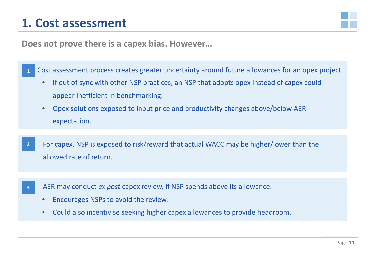#### **1. Cost assessment**



**Does not prove there is a capex bias. However…**

 Cost assessment process creates greater uncertainty around future allowances for an opex project **1**

- If out of sync with other NSP practices, an NSP that adopts opex instead of capex could appear inefficient in benchmarking.
- Opex solutions exposed to input price and productivity changes above/below AER expectation.
- For capex, NSP is exposed to risk/reward that actual WACC may be higher/lower than the allowed rate of return. **2**
- AER may conduct *ex post* capex review, if NSP spends above its allowance. **3**
	- Encourages NSPs to avoid the review.
	- Could also incentivise seeking higher capex allowances to provide headroom.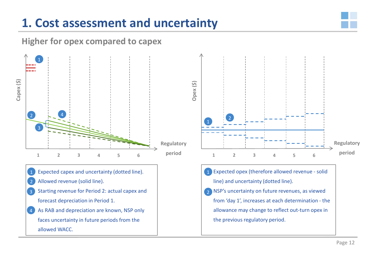## **1. Cost assessment and uncertainty**



#### **Higher for opex compared to capex**



- Expected capex and uncertainty (dotted line). Allowed revenue (solid line). 1 2
- Starting revenue for Period 2: actual capex and forecast depreciation in Period 1. 3
- As RAB and depreciation are known, NSP only faces uncertainty in future periods from the allowed WACC. 4



1 Expected opex (therefore allowed revenue - solid line) and uncertainty (dotted line). 2 NSP's uncertainty on future revenues, as viewed from 'day 1', increases at each determination - the allowance may change to reflect out-turn opex in the previous regulatory period.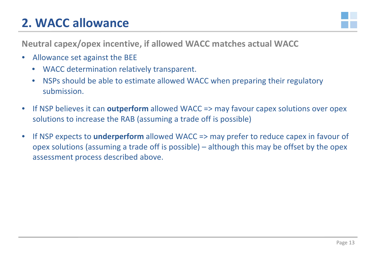## **2. WACC allowance**



**Neutral capex/opex incentive, if allowed WACC matches actual WACC**

- Allowance set against the BEE
	- WACC determination relatively transparent.
	- NSPs should be able to estimate allowed WACC when preparing their regulatory submission.
- If NSP believes it can **outperform** allowed WACC => may favour capex solutions over opex solutions to increase the RAB (assuming a trade off is possible)
- If NSP expects to **underperform** allowed WACC => may prefer to reduce capex in favour of opex solutions (assuming a trade off is possible) – although this may be offset by the opex assessment process described above.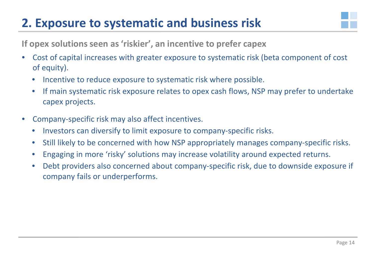## **2. Exposure to systematic and business risk**



**If opex solutions seen as 'riskier', an incentive to prefer capex**

- Cost of capital increases with greater exposure to systematic risk (beta component of cost of equity).
	- Incentive to reduce exposure to systematic risk where possible.
	- If main systematic risk exposure relates to opex cash flows, NSP may prefer to undertake capex projects.
- Company-specific risk may also affect incentives.
	- Investors can diversify to limit exposure to company-specific risks.
	- Still likely to be concerned with how NSP appropriately manages company-specific risks.
	- Engaging in more 'risky' solutions may increase volatility around expected returns.
	- Debt providers also concerned about company-specific risk, due to downside exposure if company fails or underperforms.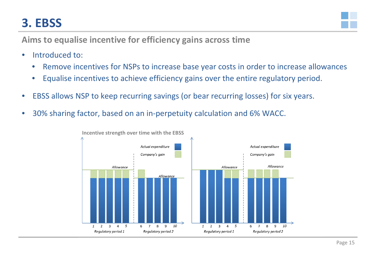## **3. EBSS**



**Aims to equalise incentive for efficiency gains across time**

- Introduced to:
	- Remove incentives for NSPs to increase base year costs in order to increase allowances
	- Equalise incentives to achieve efficiency gains over the entire regulatory period.
- EBSS allows NSP to keep recurring savings (or bear recurring losses) for six years.
- 30% sharing factor, based on an in-perpetuity calculation and 6% WACC.

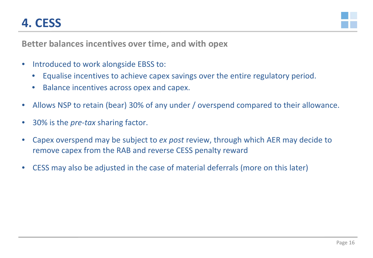## **4. CESS**



**Better balances incentives over time, and with opex**

- Introduced to work alongside EBSS to:
	- Equalise incentives to achieve capex savings over the entire regulatory period.
	- Balance incentives across opex and capex.
- Allows NSP to retain (bear) 30% of any under / overspend compared to their allowance.
- 30% is the *pre-tax* sharing factor.
- Capex overspend may be subject to *ex post* review, through which AER may decide to remove capex from the RAB and reverse CESS penalty reward
- CESS may also be adjusted in the case of material deferrals (more on this later)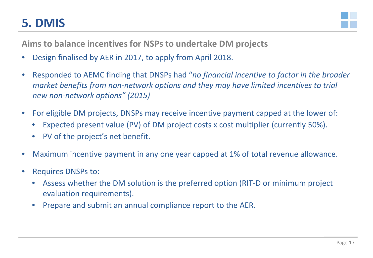### **5. DMIS**



**Aims to balance incentives for NSPs to undertake DM projects**

- Design finalised by AER in 2017, to apply from April 2018.
- Responded to AEMC finding that DNSPs had "*no financial incentive to factor in the broader market benefits from non-network options and they may have limited incentives to trial new non-network options" (2015)*
- For eligible DM projects, DNSPs may receive incentive payment capped at the lower of:
	- Expected present value (PV) of DM project costs x cost multiplier (currently 50%).
	- PV of the project's net benefit.
- Maximum incentive payment in any one year capped at 1% of total revenue allowance.
- Requires DNSPs to:
	- Assess whether the DM solution is the preferred option (RIT-D or minimum project evaluation requirements).
	- Prepare and submit an annual compliance report to the AER.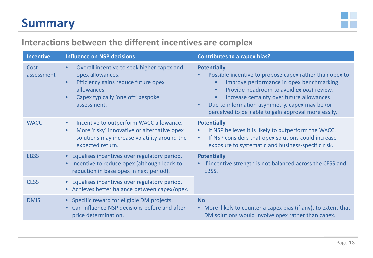#### **Summary**



#### **Interactions between the different incentives are complex**

| <b>Incentive</b>   | <b>Influence on NSP decisions</b>                                                                                                                                                     | <b>Contributes to a capex bias?</b>                                                                                                                                                                                                                                                                                                                                   |
|--------------------|---------------------------------------------------------------------------------------------------------------------------------------------------------------------------------------|-----------------------------------------------------------------------------------------------------------------------------------------------------------------------------------------------------------------------------------------------------------------------------------------------------------------------------------------------------------------------|
| Cost<br>assessment | Overall incentive to seek higher capex and<br>opex allowances.<br>Efficiency gains reduce future opex<br>$\bullet$<br>allowances.<br>Capex typically 'one off' bespoke<br>assessment. | <b>Potentially</b><br>Possible incentive to propose capex rather than opex to:<br>Improve performance in opex benchmarking.<br>$\bullet$<br>Provide headroom to avoid ex post review.<br>$\bullet$<br>Increase certainty over future allowances<br>$\bullet$<br>Due to information asymmetry, capex may be (or<br>perceived to be) able to gain approval more easily. |
| <b>WACC</b>        | Incentive to outperform WACC allowance.<br>$\bullet$<br>More 'risky' innovative or alternative opex<br>$\bullet$<br>solutions may increase volatility around the<br>expected return.  | <b>Potentially</b><br>If NSP believes it is likely to outperform the WACC.<br>$\bullet$<br>If NSP considers that opex solutions could increase<br>$\bullet$<br>exposure to systematic and business-specific risk.                                                                                                                                                     |
| <b>EBSS</b>        | Equalises incentives over regulatory period.<br>Incentive to reduce opex (although leads to<br>reduction in base opex in next period).                                                | <b>Potentially</b><br>• If incentive strength is not balanced across the CESS and<br>EBSS.                                                                                                                                                                                                                                                                            |
| <b>CESS</b>        | • Equalises incentives over regulatory period.<br>• Achieves better balance between capex/opex.                                                                                       |                                                                                                                                                                                                                                                                                                                                                                       |
| <b>DMIS</b>        | • Specific reward for eligible DM projects.<br>Can influence NSP decisions before and after<br>price determination.                                                                   | <b>No</b><br>• More likely to counter a capex bias (if any), to extent that<br>DM solutions would involve opex rather than capex.                                                                                                                                                                                                                                     |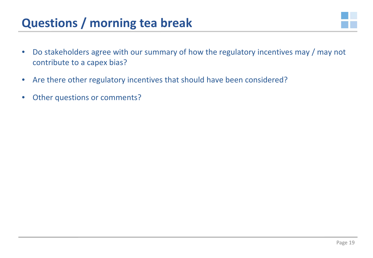#### **Questions / morning tea break**



- Do stakeholders agree with our summary of how the regulatory incentives may / may not contribute to a capex bias?
- Are there other regulatory incentives that should have been considered?
- Other questions or comments?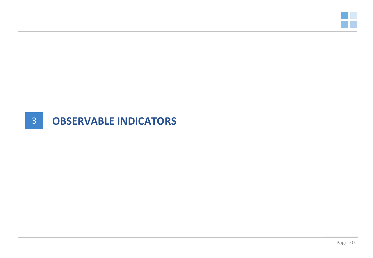

#### 3 **OBSERVABLE INDICATORS**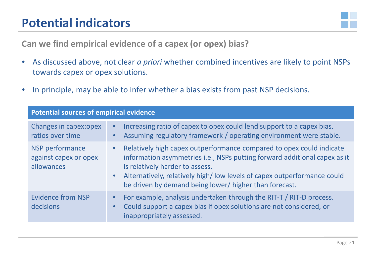#### **Potential indicators**



**Can we find empirical evidence of a capex (or opex) bias?**

- As discussed above, not clear *a priori* whether combined incentives are likely to point NSPs towards capex or opex solutions.
- In principle, may be able to infer whether a bias exists from past NSP decisions.

| <b>Potential sources of empirical evidence</b>         |                                                                                                                                                                                                                                                                                                                                                     |
|--------------------------------------------------------|-----------------------------------------------------------------------------------------------------------------------------------------------------------------------------------------------------------------------------------------------------------------------------------------------------------------------------------------------------|
| Changes in capex: opex<br>ratios over time             | Increasing ratio of capex to opex could lend support to a capex bias.<br>$\bullet$<br>Assuming regulatory framework / operating environment were stable.                                                                                                                                                                                            |
| NSP performance<br>against capex or opex<br>allowances | Relatively high capex outperformance compared to opex could indicate<br>$\bullet$<br>information asymmetries i.e., NSPs putting forward additional capex as it<br>is relatively harder to assess.<br>Alternatively, relatively high/low levels of capex outperformance could<br>$\bullet$<br>be driven by demand being lower/ higher than forecast. |
| <b>Evidence from NSP</b><br>decisions                  | For example, analysis undertaken through the RIT-T / RIT-D process.<br>$\bullet$<br>Could support a capex bias if opex solutions are not considered, or<br>inappropriately assessed.                                                                                                                                                                |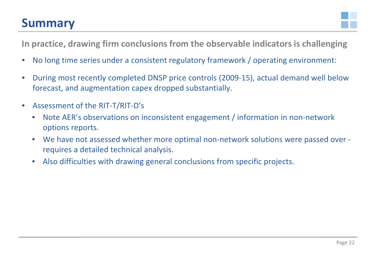#### **Summary**



**In practice, drawing firm conclusions from the observable indicators is challenging**

- No long time series under a consistent regulatory framework / operating environment:
- During most recently completed DNSP price controls (2009-15), actual demand well below forecast, and augmentation capex dropped substantially.
- Assessment of the RIT-T/RIT-D's
	- Note AER's observations on inconsistent engagement / information in non-network options reports.
	- We have not assessed whether more optimal non-network solutions were passed over requires a detailed technical analysis.
	- Also difficulties with drawing general conclusions from specific projects.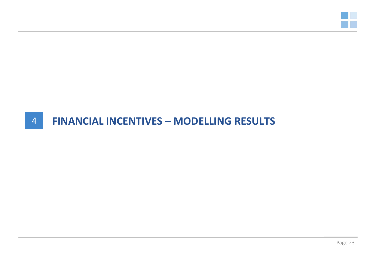

#### 4 **FINANCIAL INCENTIVES – MODELLING RESULTS**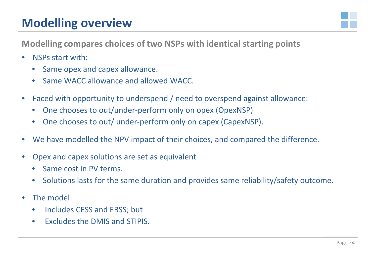## **Modelling overview**



**Modelling compares choices of two NSPs with identical starting points**

- NSPs start with:
	- Same opex and capex allowance.
	- Same WACC allowance and allowed WACC.
- Faced with opportunity to underspend / need to overspend against allowance:
	- One chooses to out/under-perform only on opex (OpexNSP)
	- One chooses to out/ under-perform only on capex (CapexNSP).
- We have modelled the NPV impact of their choices, and compared the difference.
- Opex and capex solutions are set as equivalent
	- Same cost in PV terms.
	- Solutions lasts for the same duration and provides same reliability/safety outcome.
- The model:
	- Includes CESS and EBSS; but
	- Excludes the DMIS and STIPIS.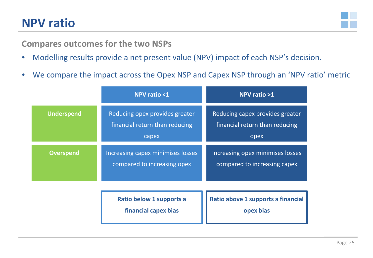#### **NPV ratio**



#### **Compares outcomes for the two NSPs**

- Modelling results provide a net present value (NPV) impact of each NSP's decision.
- We compare the impact across the Opex NSP and Capex NSP through an 'NPV ratio' metric

|                   | <b>NPV ratio &lt;1</b>                                                    | NPV ratio >1                                                              |
|-------------------|---------------------------------------------------------------------------|---------------------------------------------------------------------------|
| <b>Underspend</b> | Reducing opex provides greater<br>financial return than reducing<br>capex | Reducing capex provides greater<br>financial return than reducing<br>opex |
| <b>Overspend</b>  | Increasing capex minimises losses<br>compared to increasing opex          | <b>Increasing opex minimises losses</b><br>compared to increasing capex   |
|                   | Ratio below 1 supports a<br>financial capex bias                          | Ratio above 1 supports a financial<br>opex bias                           |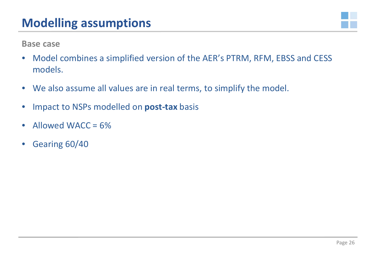

**Base case**

- Model combines a simplified version of the AER's PTRM, RFM, EBSS and CESS models.
- We also assume all values are in real terms, to simplify the model.
- Impact to NSPs modelled on **post-tax** basis
- Allowed WACC = 6%
- Gearing 60/40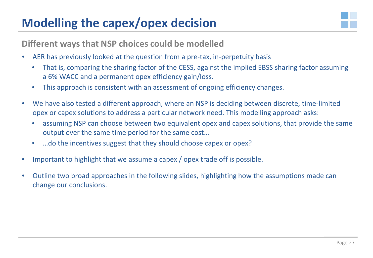### **Modelling the capex/opex decision**



**Different ways that NSP choices could be modelled**

- AER has previously looked at the question from a pre-tax, in-perpetuity basis
	- That is, comparing the sharing factor of the CESS, against the implied EBSS sharing factor assuming a 6% WACC and a permanent opex efficiency gain/loss.
	- This approach is consistent with an assessment of ongoing efficiency changes.
- We have also tested a different approach, where an NSP is deciding between discrete, time-limited opex or capex solutions to address a particular network need. This modelling approach asks:
	- assuming NSP can choose between two equivalent opex and capex solutions, that provide the same output over the same time period for the same cost…
	- …do the incentives suggest that they should choose capex or opex?
- Important to highlight that we assume a capex / opex trade off is possible.
- Outline two broad approaches in the following slides, highlighting how the assumptions made can change our conclusions.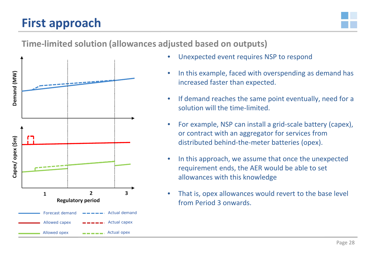## **First approach**



#### **Time-limited solution (allowances adjusted based on outputs)**



- Unexpected event requires NSP to respond
- In this example, faced with overspending as demand has increased faster than expected.
- If demand reaches the same point eventually, need for a solution will the time-limited.
- For example, NSP can install a grid-scale battery (capex), or contract with an aggregator for services from distributed behind-the-meter batteries (opex).
- In this approach, we assume that once the unexpected requirement ends, the AER would be able to set allowances with this knowledge
- That is, opex allowances would revert to the base level from Period 3 onwards.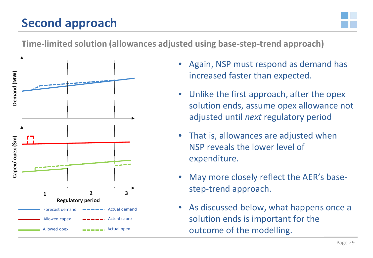## **Second approach**



#### **Time-limited solution (allowances adjusted using base-step-trend approach)**



- Again, NSP must respond as demand has increased faster than expected.
- Unlike the first approach, after the opex solution ends, assume opex allowance not adjusted until *next* regulatory period
- That is, allowances are adjusted when NSP reveals the lower level of expenditure.
- May more closely reflect the AER's basestep-trend approach.
- As discussed below, what happens once a solution ends is important for the outcome of the modelling.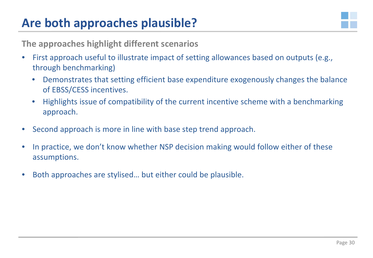## **Are both approaches plausible?**



**The approaches highlight different scenarios**

- First approach useful to illustrate impact of setting allowances based on outputs (e.g., through benchmarking)
	- Demonstrates that setting efficient base expenditure exogenously changes the balance of EBSS/CESS incentives.
	- Highlights issue of compatibility of the current incentive scheme with a benchmarking approach.
- Second approach is more in line with base step trend approach.
- In practice, we don't know whether NSP decision making would follow either of these assumptions.
- Both approaches are stylised... but either could be plausible.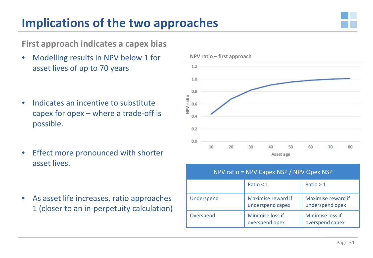## **Implications of the two approaches**



**First approach indicates a capex bias**

- Modelling results in NPV below 1 for asset lives of up to 70 years
- Indicates an incentive to substitute capex for opex – where a trade-off is possible.
- Effect more pronounced with shorter asset lives.
- As asset life increases, ratio approaches 1 (closer to an in-perpetuity calculation)



|            | NPV ratio = NPV Capex NSP / NPV Opex NSP |                                       |
|------------|------------------------------------------|---------------------------------------|
|            | Ratio $< 1$                              | Ratio > 1                             |
| Underspend | Maximise reward if<br>underspend capex   | Maximise reward if<br>underspend opex |
| Overspend  | Minimise loss if<br>overspend opex       | Minimise loss if<br>overspend capex   |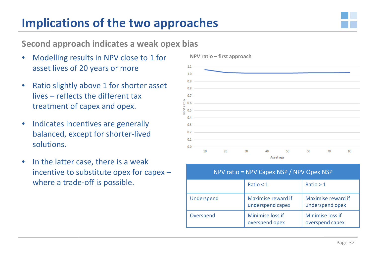#### **Implications of the two approaches**



#### **Second approach indicates a weak opex bias**

- Modelling results in NPV close to 1 for asset lives of 20 years or more
- Ratio slightly above 1 for shorter asset lives – reflects the different tax treatment of capex and opex.
- Indicates incentives are generally balanced, except for shorter-lived solutions.
- In the latter case, there is a weak incentive to substitute opex for capex – where a trade-off is possible.



| NPV ratio = NPV Capex NSP / NPV Opex NSP |                                        |                                       |
|------------------------------------------|----------------------------------------|---------------------------------------|
|                                          | Ratio $<$ 1                            | Ratio > 1                             |
| Underspend                               | Maximise reward if<br>underspend capex | Maximise reward if<br>underspend opex |
| Overspend                                | Minimise loss if<br>overspend opex     | Minimise loss if<br>overspend capex   |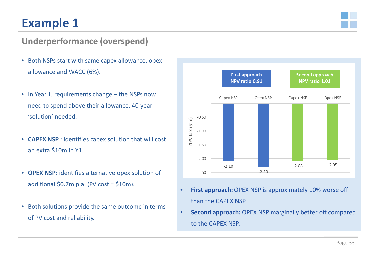## **Example 1**



#### **Underperformance (overspend)**

- Both NSPs start with same capex allowance, opex allowance and WACC (6%).
- In Year 1, requirements change the NSPs now need to spend above their allowance. 40-year 'solution' needed.
- **CAPEX NSP** : identifies capex solution that will cost an extra \$10m in Y1.
- **OPEX NSP:** identifies alternative opex solution of additional  $$0.7m$  p.a. (PV cost =  $$10m$ ).
- Both solutions provide the same outcome in terms of PV cost and reliability.



- **First approach:** OPEX NSP is approximately 10% worse off than the CAPEX NSP
- **Second approach:** OPEX NSP marginally better off compared to the CAPEX NSP.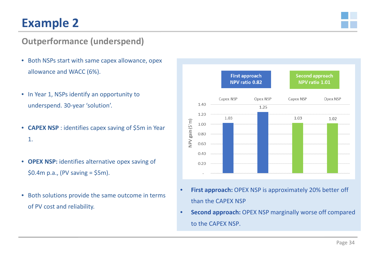## **Example 2**



#### **Outperformance (underspend)**

- Both NSPs start with same capex allowance, opex allowance and WACC (6%).
- In Year 1, NSPs identify an opportunity to underspend. 30-year 'solution'.
- **CAPEX NSP** : identifies capex saving of \$5m in Year 1.
- **OPEX NSP:** identifies alternative opex saving of  $$0.4m$  p.a., (PV saving =  $$5m$ ).
- Both solutions provide the same outcome in terms of PV cost and reliability.



- **First approach:** OPEX NSP is approximately 20% better off than the CAPEX NSP
- **Second approach:** OPEX NSP marginally worse off compared to the CAPEX NSP.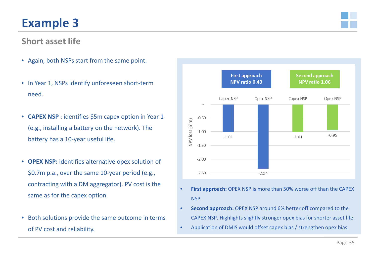## **Example 3**

#### **Short asset life**

- Again, both NSPs start from the same point.
- In Year 1, NSPs identify unforeseen short-term need.
- **CAPEX NSP** : identifies \$5m capex option in Year 1 (e.g., installing a battery on the network). The battery has a 10-year useful life.
- **OPEX NSP:** identifies alternative opex solution of \$0.7m p.a., over the same 10-year period (e.g., contracting with a DM aggregator). PV cost is the same as for the capex option.
- Both solutions provide the same outcome in terms of PV cost and reliability.



- **First approach:** OPEX NSP is more than 50% worse off than the CAPEX **NSP**
- **Second approach:** OPEX NSP around 6% better off compared to the CAPEX NSP. Highlights slightly stronger opex bias for shorter asset life.
- Application of DMIS would offset capex bias / strengthen opex bias.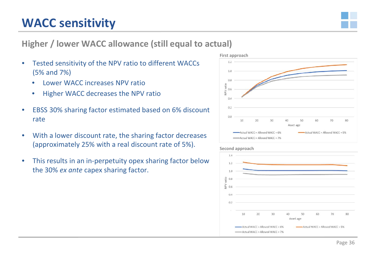#### **WACC sensitivity**



#### **Higher / lower WACC allowance (still equal to actual)**

- Tested sensitivity of the NPV ratio to different WACCs (5% and 7%)
	- Lower WACC increases NPV ratio
	- Higher WACC decreases the NPV ratio
- EBSS 30% sharing factor estimated based on 6% discount rate
- With a lower discount rate, the sharing factor decreases (approximately 25% with a real discount rate of 5%).
- This results in an in-perpetuity opex sharing factor below the 30% *ex ante* capex sharing factor.





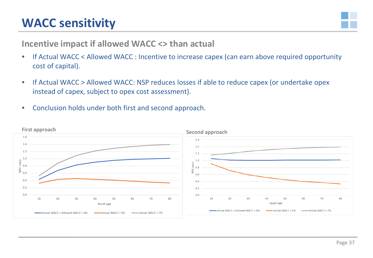### **WACC sensitivity**



#### **Incentive impact if allowed WACC <> than actual**

- If Actual WACC < Allowed WACC : Incentive to increase capex (can earn above required opportunity cost of capital).
- If Actual WACC > Allowed WACC: NSP reduces losses if able to reduce capex (or undertake opex instead of capex, subject to opex cost assessment).
- Conclusion holds under both first and second approach.

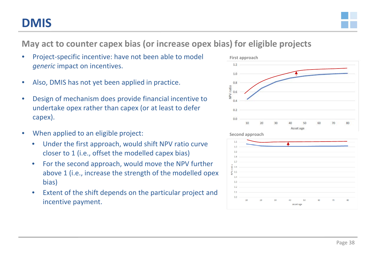#### **DMIS**



**May act to counter capex bias (or increase opex bias) for eligible projects**

- Project-specific incentive: have not been able to model *generic* impact on incentives.
- Also, DMIS has not yet been applied in practice.
- Design of mechanism does provide financial incentive to undertake opex rather than capex (or at least to defer capex).
- When applied to an eligible project:
	- Under the first approach, would shift NPV ratio curve closer to 1 (i.e., offset the modelled capex bias)
	- For the second approach, would move the NPV further above 1 (i.e., increase the strength of the modelled opex bias)
	- Extent of the shift depends on the particular project and incentive payment.





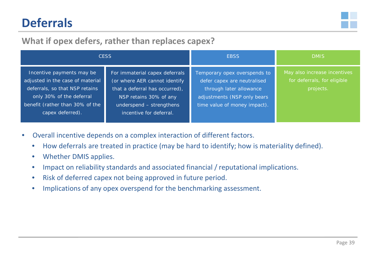## **Deferrals**



#### **What if opex defers, rather than replaces capex?**

|                                                                                                                                                                                    | <b>CESS</b>                                                                                                                                                                        | <b>EBSS</b>                                                                                                                                           | <b>DMIS</b>                                                              |
|------------------------------------------------------------------------------------------------------------------------------------------------------------------------------------|------------------------------------------------------------------------------------------------------------------------------------------------------------------------------------|-------------------------------------------------------------------------------------------------------------------------------------------------------|--------------------------------------------------------------------------|
| Incentive payments may be<br>adjusted in the case of material<br>deferrals, so that NSP retains<br>only 30% of the deferral<br>benefit (rather than 30% of the<br>capex deferred). | For immaterial capex deferrals<br>(or where AER cannot identify<br>that a deferral has occurred),<br>NSP retains 30% of any<br>underspend - strengthens<br>incentive for deferral. | Temporary opex overspends to<br>defer capex are neutralised<br>through later allowance<br>adjustments (NSP only bears<br>time value of money impact). | May also increase incentives<br>for deferrals, for eligible<br>projects. |

- Overall incentive depends on a complex interaction of different factors.
	- How deferrals are treated in practice (may be hard to identify; how is materiality defined).
	- Whether DMIS applies.
	- Impact on reliability standards and associated financial / reputational implications.
	- Risk of deferred capex not being approved in future period.
	- Implications of any opex overspend for the benchmarking assessment.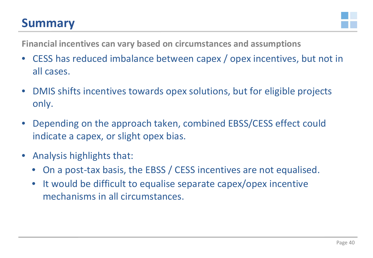#### **Summary**



**Financial incentives can vary based on circumstances and assumptions**

- CESS has reduced imbalance between capex / opex incentives, but not in all cases.
- DMIS shifts incentives towards opex solutions, but for eligible projects only.
- Depending on the approach taken, combined EBSS/CESS effect could indicate a capex, or slight opex bias.
- Analysis highlights that:
	- On a post-tax basis, the EBSS / CESS incentives are not equalised.
	- It would be difficult to equalise separate capex/opex incentive mechanisms in all circumstances.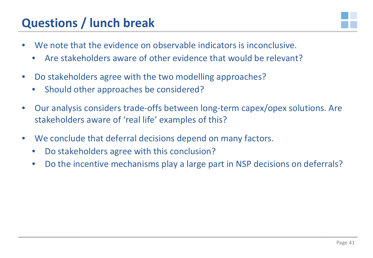#### **Questions / lunch break**



- We note that the evidence on observable indicators is inconclusive.
	- Are stakeholders aware of other evidence that would be relevant?
- Do stakeholders agree with the two modelling approaches?
	- Should other approaches be considered?
- Our analysis considers trade-offs between long-term capex/opex solutions. Are stakeholders aware of 'real life' examples of this?
- We conclude that deferral decisions depend on many factors.
	- Do stakeholders agree with this conclusion?
	- Do the incentive mechanisms play a large part in NSP decisions on deferrals?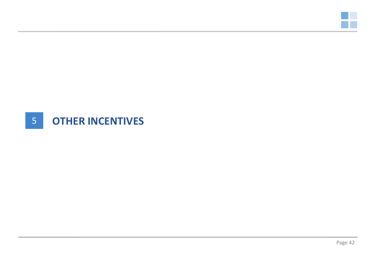

### 5 **OTHER INCENTIVES**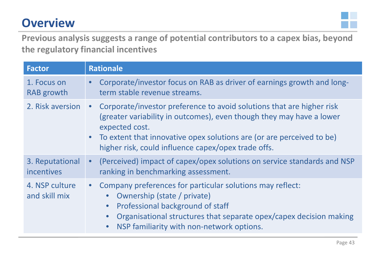## **Overview**



**Previous analysis suggests a range of potential contributors to a capex bias, beyond the regulatory financial incentives**

| <b>Factor</b>                   | <b>Rationale</b>                                                                                                                                                                                                                                                                                               |
|---------------------------------|----------------------------------------------------------------------------------------------------------------------------------------------------------------------------------------------------------------------------------------------------------------------------------------------------------------|
| 1. Focus on<br>RAB growth       | Corporate/investor focus on RAB as driver of earnings growth and long-<br>term stable revenue streams.                                                                                                                                                                                                         |
| 2. Risk aversion                | Corporate/investor preference to avoid solutions that are higher risk<br>$\bullet$<br>(greater variability in outcomes), even though they may have a lower<br>expected cost.<br>• To extent that innovative opex solutions are (or are perceived to be)<br>higher risk, could influence capex/opex trade offs. |
| 3. Reputational<br>incentives   | • (Perceived) impact of capex/opex solutions on service standards and NSP<br>ranking in benchmarking assessment.                                                                                                                                                                                               |
| 4. NSP culture<br>and skill mix | • Company preferences for particular solutions may reflect:<br>Ownership (state / private)<br>Professional background of staff<br>$\bullet$<br>Organisational structures that separate opex/capex decision making<br>$\bullet$<br>NSP familiarity with non-network options.<br>$\bullet$                       |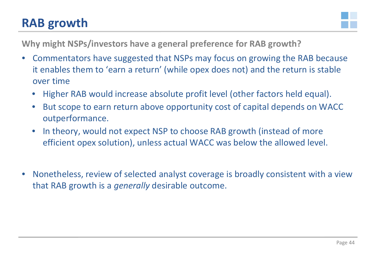#### **RAB growth**



**Why might NSPs/investors have a general preference for RAB growth?**

- Commentators have suggested that NSPs may focus on growing the RAB because it enables them to 'earn a return' (while opex does not) and the return is stable over time
	- Higher RAB would increase absolute profit level (other factors held equal).
	- But scope to earn return above opportunity cost of capital depends on WACC outperformance.
	- In theory, would not expect NSP to choose RAB growth (instead of more efficient opex solution), unless actual WACC was below the allowed level.
- Nonetheless, review of selected analyst coverage is broadly consistent with a view that RAB growth is a *generally* desirable outcome.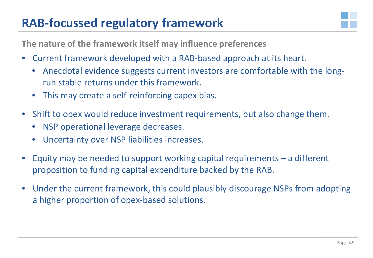## **RAB-focussed regulatory framework**



**The nature of the framework itself may influence preferences**

- Current framework developed with a RAB-based approach at its heart.
	- Anecdotal evidence suggests current investors are comfortable with the longrun stable returns under this framework.
	- This may create a self-reinforcing capex bias.
- Shift to opex would reduce investment requirements, but also change them.
	- NSP operational leverage decreases.
	- Uncertainty over NSP liabilities increases.
- Equity may be needed to support working capital requirements  $-$  a different proposition to funding capital expenditure backed by the RAB.
- Under the current framework, this could plausibly discourage NSPs from adopting a higher proportion of opex-based solutions.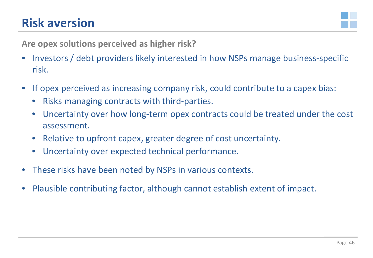#### **Risk aversion**



**Are opex solutions perceived as higher risk?**

- Investors / debt providers likely interested in how NSPs manage business-specific risk.
- If opex perceived as increasing company risk, could contribute to a capex bias:
	- Risks managing contracts with third-parties.
	- Uncertainty over how long-term opex contracts could be treated under the cost assessment.
	- Relative to upfront capex, greater degree of cost uncertainty.
	- Uncertainty over expected technical performance.
- These risks have been noted by NSPs in various contexts.
- Plausible contributing factor, although cannot establish extent of impact.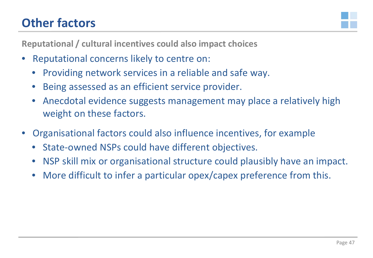## **Other factors**



**Reputational / cultural incentives could also impact choices**

- Reputational concerns likely to centre on:
	- Providing network services in a reliable and safe way.
	- Being assessed as an efficient service provider.
	- Anecdotal evidence suggests management may place a relatively high weight on these factors.
- Organisational factors could also influence incentives, for example
	- State-owned NSPs could have different objectives.
	- NSP skill mix or organisational structure could plausibly have an impact.
	- More difficult to infer a particular opex/capex preference from this.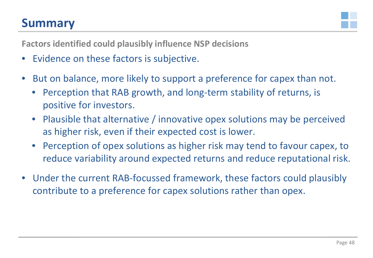#### **Summary**



**Factors identified could plausibly influence NSP decisions**

- Evidence on these factors is subjective.
- But on balance, more likely to support a preference for capex than not.
	- Perception that RAB growth, and long-term stability of returns, is positive for investors.
	- Plausible that alternative / innovative opex solutions may be perceived as higher risk, even if their expected cost is lower.
	- Perception of opex solutions as higher risk may tend to favour capex, to reduce variability around expected returns and reduce reputational risk.
- Under the current RAB-focussed framework, these factors could plausibly contribute to a preference for capex solutions rather than opex.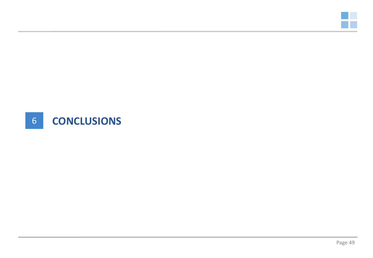

### 6 **CONCLUSIONS**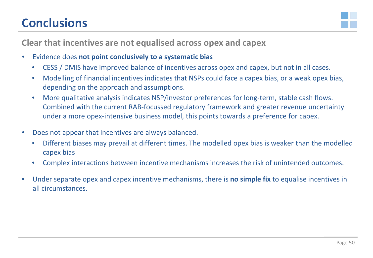## **Conclusions**



**Clear that incentives are not equalised across opex and capex**

- Evidence does **not point conclusively to a systematic bias**
	- CESS / DMIS have improved balance of incentives across opex and capex, but not in all cases.
	- Modelling of financial incentives indicates that NSPs could face a capex bias, or a weak opex bias, depending on the approach and assumptions.
	- More qualitative analysis indicates NSP/investor preferences for long-term, stable cash flows. Combined with the current RAB-focussed regulatory framework and greater revenue uncertainty under a more opex-intensive business model, this points towards a preference for capex.
- Does not appear that incentives are always balanced.
	- Different biases may prevail at different times. The modelled opex bias is weaker than the modelled capex bias
	- Complex interactions between incentive mechanisms increases the risk of unintended outcomes.
- Under separate opex and capex incentive mechanisms, there is **no simple fix** to equalise incentives in all circumstances.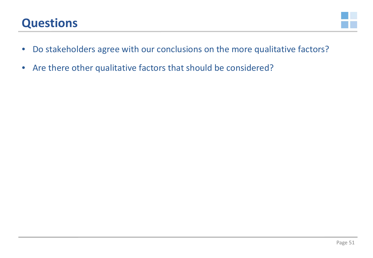## **Questions**



- Do stakeholders agree with our conclusions on the more qualitative factors?
- Are there other qualitative factors that should be considered?